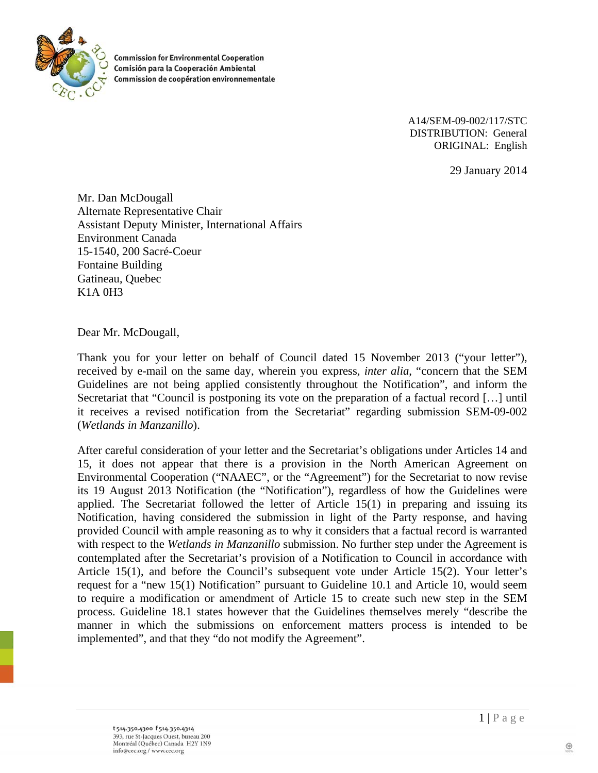

**Commission for Environmental Cooperation** Comisión para la Cooperación Ambiental Commission de coopération environnementale

> A14/SEM-09-002/117/STC DISTRIBUTION: General ORIGINAL: English

> > 29 January 2014

Mr. Dan McDougall Alternate Representative Chair Assistant Deputy Minister, International Affairs Environment Canada 15-1540, 200 Sacré-Coeur Fontaine Building Gatineau, Quebec K1A 0H3

Dear Mr. McDougall,

Thank you for your letter on behalf of Council dated 15 November 2013 ("your letter"), received by e-mail on the same day, wherein you express, *inter alia*, "concern that the SEM Guidelines are not being applied consistently throughout the Notification", and inform the Secretariat that "Council is postponing its vote on the preparation of a factual record […] until it receives a revised notification from the Secretariat" regarding submission SEM-09-002 (*Wetlands in Manzanillo*).

After careful consideration of your letter and the Secretariat's obligations under Articles 14 and 15, it does not appear that there is a provision in the North American Agreement on Environmental Cooperation ("NAAEC", or the "Agreement") for the Secretariat to now revise its 19 August 2013 Notification (the "Notification"), regardless of how the Guidelines were applied. The Secretariat followed the letter of Article 15(1) in preparing and issuing its Notification, having considered the submission in light of the Party response, and having provided Council with ample reasoning as to why it considers that a factual record is warranted with respect to the *Wetlands in Manzanillo* submission. No further step under the Agreement is contemplated after the Secretariat's provision of a Notification to Council in accordance with Article 15(1), and before the Council's subsequent vote under Article 15(2). Your letter's request for a "new 15(1) Notification" pursuant to Guideline 10.1 and Article 10, would seem to require a modification or amendment of Article 15 to create such new step in the SEM process. Guideline 18.1 states however that the Guidelines themselves merely "describe the manner in which the submissions on enforcement matters process is intended to be implemented", and that they "do not modify the Agreement".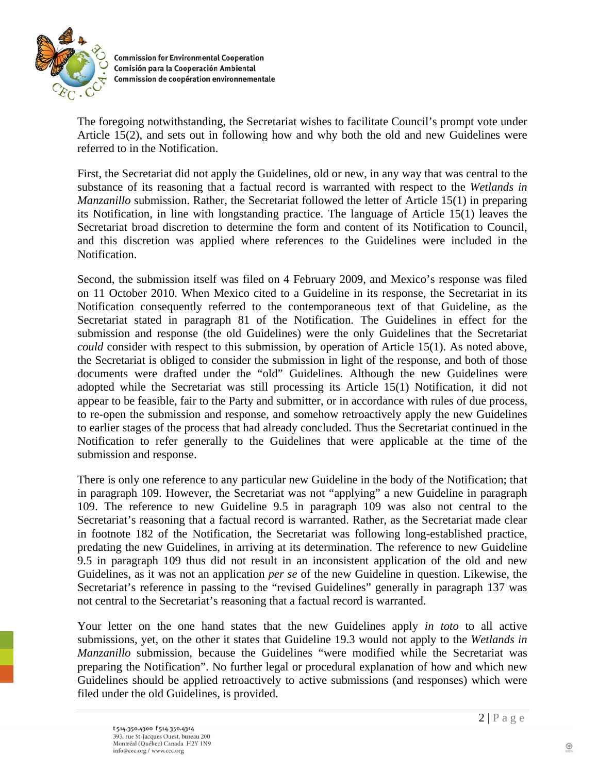

**Commission for Environmental Cooperation** Comisión para la Cooperación Ambiental Commission de coopération environnementale

The foregoing notwithstanding, the Secretariat wishes to facilitate Council's prompt vote under Article 15(2), and sets out in following how and why both the old and new Guidelines were referred to in the Notification.

First, the Secretariat did not apply the Guidelines, old or new, in any way that was central to the substance of its reasoning that a factual record is warranted with respect to the *Wetlands in Manzanillo* submission. Rather, the Secretariat followed the letter of Article 15(1) in preparing its Notification, in line with longstanding practice. The language of Article 15(1) leaves the Secretariat broad discretion to determine the form and content of its Notification to Council, and this discretion was applied where references to the Guidelines were included in the Notification.

Second, the submission itself was filed on 4 February 2009, and Mexico's response was filed on 11 October 2010. When Mexico cited to a Guideline in its response, the Secretariat in its Notification consequently referred to the contemporaneous text of that Guideline, as the Secretariat stated in paragraph 81 of the Notification. The Guidelines in effect for the submission and response (the old Guidelines) were the only Guidelines that the Secretariat *could* consider with respect to this submission, by operation of Article 15(1). As noted above, the Secretariat is obliged to consider the submission in light of the response, and both of those documents were drafted under the "old" Guidelines. Although the new Guidelines were adopted while the Secretariat was still processing its Article 15(1) Notification, it did not appear to be feasible, fair to the Party and submitter, or in accordance with rules of due process, to re-open the submission and response, and somehow retroactively apply the new Guidelines to earlier stages of the process that had already concluded. Thus the Secretariat continued in the Notification to refer generally to the Guidelines that were applicable at the time of the submission and response.

There is only one reference to any particular new Guideline in the body of the Notification; that in paragraph 109. However, the Secretariat was not "applying" a new Guideline in paragraph 109. The reference to new Guideline 9.5 in paragraph 109 was also not central to the Secretariat's reasoning that a factual record is warranted. Rather, as the Secretariat made clear in footnote 182 of the Notification, the Secretariat was following long-established practice, predating the new Guidelines, in arriving at its determination. The reference to new Guideline 9.5 in paragraph 109 thus did not result in an inconsistent application of the old and new Guidelines, as it was not an application *per se* of the new Guideline in question. Likewise, the Secretariat's reference in passing to the "revised Guidelines" generally in paragraph 137 was not central to the Secretariat's reasoning that a factual record is warranted.

Your letter on the one hand states that the new Guidelines apply *in toto* to all active submissions, yet, on the other it states that Guideline 19.3 would not apply to the *Wetlands in Manzanillo* submission, because the Guidelines "were modified while the Secretariat was preparing the Notification". No further legal or procedural explanation of how and which new Guidelines should be applied retroactively to active submissions (and responses) which were filed under the old Guidelines, is provided.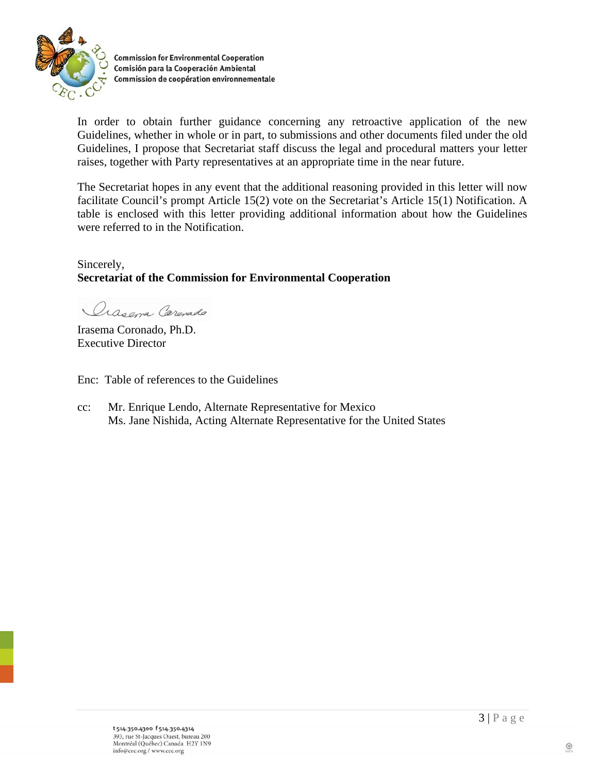

**Commission for Environmental Cooperation** Comisión para la Cooperación Ambiental Commission de coopération environnementale

In order to obtain further guidance concerning any retroactive application of the new Guidelines, whether in whole or in part, to submissions and other documents filed under the old Guidelines, I propose that Secretariat staff discuss the legal and procedural matters your letter raises, together with Party representatives at an appropriate time in the near future.

The Secretariat hopes in any event that the additional reasoning provided in this letter will now facilitate Council's prompt Article 15(2) vote on the Secretariat's Article 15(1) Notification. A table is enclosed with this letter providing additional information about how the Guidelines were referred to in the Notification.

## Sincerely, **Secretariat of the Commission for Environmental Cooperation**

Oras ana Carenado

Irasema Coronado, Ph.D. Executive Director

Enc: Table of references to the Guidelines

cc: Mr. Enrique Lendo, Alternate Representative for Mexico Ms. Jane Nishida, Acting Alternate Representative for the United States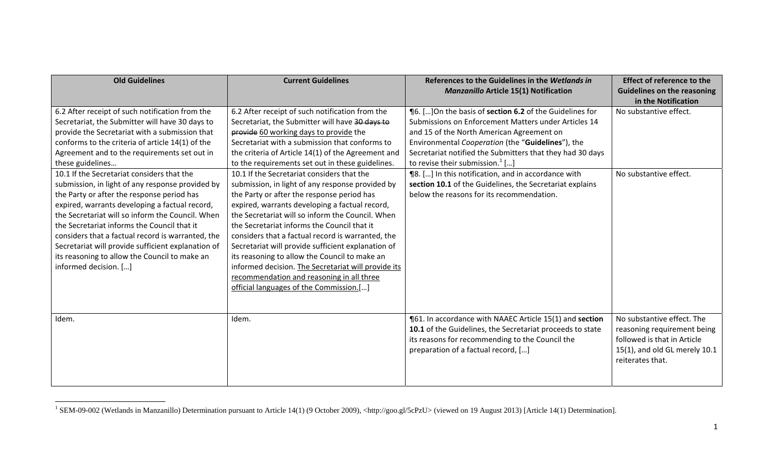| <b>Old Guidelines</b>                                                                                                                                                                                                                                                                                                                                                                                                                                                                                                                                                                                                                                                                                                                                                  | <b>Current Guidelines</b>                                                                                                                                                                                                                                                                                                                                                                                                                                                                                                                                                                                                                                                                                                                                                                                                                                                                                                | References to the Guidelines in the Wetlands in<br><b>Manzanillo Article 15(1) Notification</b>                                                                                                                                                                                                                                                                                                                                                                                         | <b>Effect of reference to the</b><br><b>Guidelines on the reasoning</b><br>in the Notification                                                |
|------------------------------------------------------------------------------------------------------------------------------------------------------------------------------------------------------------------------------------------------------------------------------------------------------------------------------------------------------------------------------------------------------------------------------------------------------------------------------------------------------------------------------------------------------------------------------------------------------------------------------------------------------------------------------------------------------------------------------------------------------------------------|--------------------------------------------------------------------------------------------------------------------------------------------------------------------------------------------------------------------------------------------------------------------------------------------------------------------------------------------------------------------------------------------------------------------------------------------------------------------------------------------------------------------------------------------------------------------------------------------------------------------------------------------------------------------------------------------------------------------------------------------------------------------------------------------------------------------------------------------------------------------------------------------------------------------------|-----------------------------------------------------------------------------------------------------------------------------------------------------------------------------------------------------------------------------------------------------------------------------------------------------------------------------------------------------------------------------------------------------------------------------------------------------------------------------------------|-----------------------------------------------------------------------------------------------------------------------------------------------|
| 6.2 After receipt of such notification from the<br>Secretariat, the Submitter will have 30 days to<br>provide the Secretariat with a submission that<br>conforms to the criteria of article 14(1) of the<br>Agreement and to the requirements set out in<br>these guidelines<br>10.1 If the Secretariat considers that the<br>submission, in light of any response provided by<br>the Party or after the response period has<br>expired, warrants developing a factual record,<br>the Secretariat will so inform the Council. When<br>the Secretariat informs the Council that it<br>considers that a factual record is warranted, the<br>Secretariat will provide sufficient explanation of<br>its reasoning to allow the Council to make an<br>informed decision. [] | 6.2 After receipt of such notification from the<br>Secretariat, the Submitter will have 30 days to<br>provide 60 working days to provide the<br>Secretariat with a submission that conforms to<br>the criteria of Article 14(1) of the Agreement and<br>to the requirements set out in these guidelines.<br>10.1 If the Secretariat considers that the<br>submission, in light of any response provided by<br>the Party or after the response period has<br>expired, warrants developing a factual record,<br>the Secretariat will so inform the Council. When<br>the Secretariat informs the Council that it<br>considers that a factual record is warranted, the<br>Secretariat will provide sufficient explanation of<br>its reasoning to allow the Council to make an<br>informed decision. The Secretariat will provide its<br>recommendation and reasoning in all three<br>official languages of the Commission.[] | ¶6. [] On the basis of section 6.2 of the Guidelines for<br>Submissions on Enforcement Matters under Articles 14<br>and 15 of the North American Agreement on<br>Environmental Cooperation (the "Guidelines"), the<br>Secretariat notified the Submitters that they had 30 days<br>to revise their submission. $^{1}[]$<br>¶8. [] In this notification, and in accordance with<br>section 10.1 of the Guidelines, the Secretariat explains<br>below the reasons for its recommendation. | No substantive effect.<br>No substantive effect.                                                                                              |
| Idem.                                                                                                                                                                                                                                                                                                                                                                                                                                                                                                                                                                                                                                                                                                                                                                  | Idem.                                                                                                                                                                                                                                                                                                                                                                                                                                                                                                                                                                                                                                                                                                                                                                                                                                                                                                                    | ¶61. In accordance with NAAEC Article 15(1) and section<br>10.1 of the Guidelines, the Secretariat proceeds to state<br>its reasons for recommending to the Council the<br>preparation of a factual record, []                                                                                                                                                                                                                                                                          | No substantive effect. The<br>reasoning requirement being<br>followed is that in Article<br>15(1), and old GL merely 10.1<br>reiterates that. |

<sup>&</sup>lt;sup>1</sup> SEM-09-002 (Wetlands in Manzanillo) Determination pursuant to Article 14(1) (9 October 2009), <http://goo.gl/5cPzU> (viewed on 19 August 2013) [Article 14(1) Determination].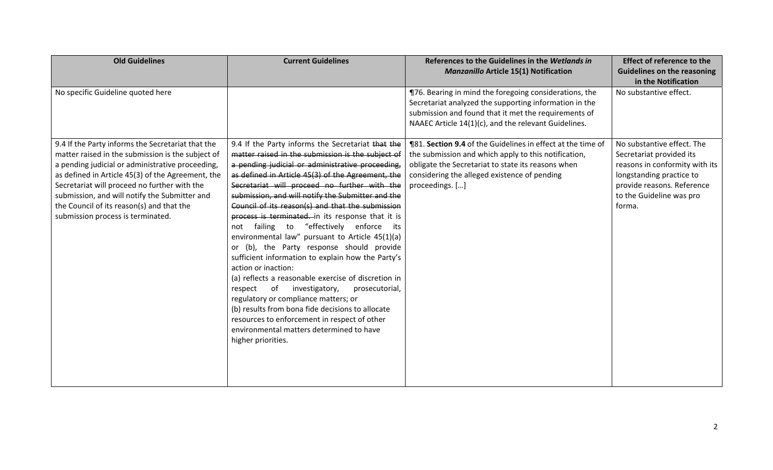| <b>Old Guidelines</b>                                                                                                                                                                                                                                                                                                                                                                              | <b>Current Guidelines</b>                                                                                                                                                                                                                                                                                                                                                                                                                                                                                                                                                                                                                                                                                                                                                                                                                                                                                                                                                      | References to the Guidelines in the Wetlands in<br><b>Manzanillo Article 15(1) Notification</b>                                                                                                                                                     | <b>Effect of reference to the</b><br><b>Guidelines on the reasoning</b><br>in the Notification                                                                                           |
|----------------------------------------------------------------------------------------------------------------------------------------------------------------------------------------------------------------------------------------------------------------------------------------------------------------------------------------------------------------------------------------------------|--------------------------------------------------------------------------------------------------------------------------------------------------------------------------------------------------------------------------------------------------------------------------------------------------------------------------------------------------------------------------------------------------------------------------------------------------------------------------------------------------------------------------------------------------------------------------------------------------------------------------------------------------------------------------------------------------------------------------------------------------------------------------------------------------------------------------------------------------------------------------------------------------------------------------------------------------------------------------------|-----------------------------------------------------------------------------------------------------------------------------------------------------------------------------------------------------------------------------------------------------|------------------------------------------------------------------------------------------------------------------------------------------------------------------------------------------|
| No specific Guideline quoted here                                                                                                                                                                                                                                                                                                                                                                  |                                                                                                                                                                                                                                                                                                                                                                                                                                                                                                                                                                                                                                                                                                                                                                                                                                                                                                                                                                                | ¶76. Bearing in mind the foregoing considerations, the<br>Secretariat analyzed the supporting information in the<br>submission and found that it met the requirements of<br>NAAEC Article 14(1)(c), and the relevant Guidelines.                    | No substantive effect.                                                                                                                                                                   |
| 9.4 If the Party informs the Secretariat that the<br>matter raised in the submission is the subject of<br>a pending judicial or administrative proceeding,<br>as defined in Article 45(3) of the Agreement, the<br>Secretariat will proceed no further with the<br>submission, and will notify the Submitter and<br>the Council of its reason(s) and that the<br>submission process is terminated. | 9.4 If the Party informs the Secretariat that the<br>matter raised in the submission is the subject of<br>a pending judicial or administrative proceeding,<br>as defined in Article 45(3) of the Agreement, the<br>Secretariat will proceed no further with the<br>submission, and will notify the Submitter and the<br>Council of its reason(s) and that the submission<br>process is terminated. in its response that it is<br>not failing to "effectively enforce its<br>environmental law" pursuant to Article 45(1)(a)<br>or (b), the Party response should provide<br>sufficient information to explain how the Party's<br>action or inaction:<br>(a) reflects a reasonable exercise of discretion in<br>investigatory,<br>of<br>prosecutorial,<br>respect<br>regulatory or compliance matters; or<br>(b) results from bona fide decisions to allocate<br>resources to enforcement in respect of other<br>environmental matters determined to have<br>higher priorities. | <b>181. Section 9.4 of the Guidelines in effect at the time of</b><br>the submission and which apply to this notification,<br>obligate the Secretariat to state its reasons when<br>considering the alleged existence of pending<br>proceedings. [] | No substantive effect. The<br>Secretariat provided its<br>reasons in conformity with its<br>longstanding practice to<br>provide reasons. Reference<br>to the Guideline was pro<br>forma. |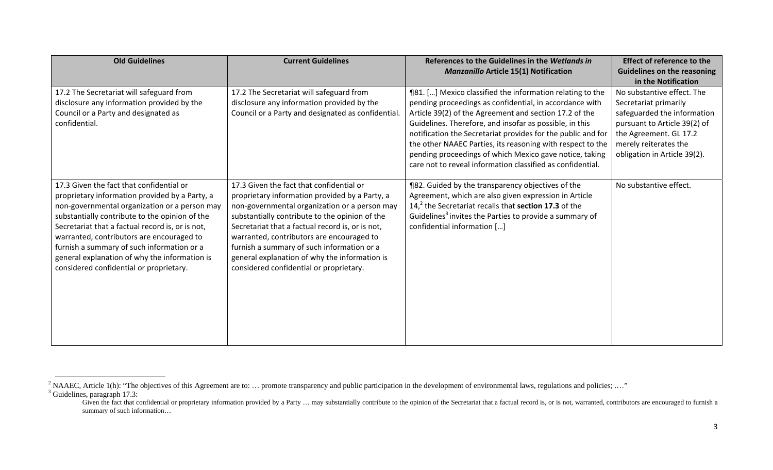| <b>Old Guidelines</b>                                                                                                                                                                                                                                                                                                                                                                                                                    | <b>Current Guidelines</b>                                                                                                                                                                                                                                                                                                                                                                                                                | References to the Guidelines in the Wetlands in<br><b>Manzanillo Article 15(1) Notification</b>                                                                                                                                                                                                                                                                                                                                                                                                  | <b>Effect of reference to the</b><br><b>Guidelines on the reasoning</b>                                                                                                                                                      |
|------------------------------------------------------------------------------------------------------------------------------------------------------------------------------------------------------------------------------------------------------------------------------------------------------------------------------------------------------------------------------------------------------------------------------------------|------------------------------------------------------------------------------------------------------------------------------------------------------------------------------------------------------------------------------------------------------------------------------------------------------------------------------------------------------------------------------------------------------------------------------------------|--------------------------------------------------------------------------------------------------------------------------------------------------------------------------------------------------------------------------------------------------------------------------------------------------------------------------------------------------------------------------------------------------------------------------------------------------------------------------------------------------|------------------------------------------------------------------------------------------------------------------------------------------------------------------------------------------------------------------------------|
| 17.2 The Secretariat will safeguard from<br>disclosure any information provided by the<br>Council or a Party and designated as<br>confidential.                                                                                                                                                                                                                                                                                          | 17.2 The Secretariat will safeguard from<br>disclosure any information provided by the<br>Council or a Party and designated as confidential.                                                                                                                                                                                                                                                                                             | ¶81. [] Mexico classified the information relating to the<br>pending proceedings as confidential, in accordance with<br>Article 39(2) of the Agreement and section 17.2 of the<br>Guidelines. Therefore, and insofar as possible, in this<br>notification the Secretariat provides for the public and for<br>the other NAAEC Parties, its reasoning with respect to the<br>pending proceedings of which Mexico gave notice, taking<br>care not to reveal information classified as confidential. | in the Notification<br>No substantive effect. The<br>Secretariat primarily<br>safeguarded the information<br>pursuant to Article 39(2) of<br>the Agreement. GL 17.2<br>merely reiterates the<br>obligation in Article 39(2). |
| 17.3 Given the fact that confidential or<br>proprietary information provided by a Party, a<br>non-governmental organization or a person may<br>substantially contribute to the opinion of the<br>Secretariat that a factual record is, or is not,<br>warranted, contributors are encouraged to<br>furnish a summary of such information or a<br>general explanation of why the information is<br>considered confidential or proprietary. | 17.3 Given the fact that confidential or<br>proprietary information provided by a Party, a<br>non-governmental organization or a person may<br>substantially contribute to the opinion of the<br>Secretariat that a factual record is, or is not,<br>warranted, contributors are encouraged to<br>furnish a summary of such information or a<br>general explanation of why the information is<br>considered confidential or proprietary. | ¶82. Guided by the transparency objectives of the<br>Agreement, which are also given expression in Article<br>$142$ the Secretariat recalls that section 17.3 of the<br>Guidelines <sup>3</sup> invites the Parties to provide a summary of<br>confidential information []                                                                                                                                                                                                                       | No substantive effect.                                                                                                                                                                                                       |

<sup>&</sup>lt;sup>2</sup> NAAEC, Article 1(h): "The objectives of this Agreement are to: ... promote transparency and public participation in the development of environmental laws, regulations and policies; ...."  $3$  Guidelines, paragraph 17.3:

Given the fact that confidential or proprietary information provided by a Party ... may substantially contribute to the opinion of the Secretariat that a factual record is, or is not, warranted, contributors are encouraged summary of such information…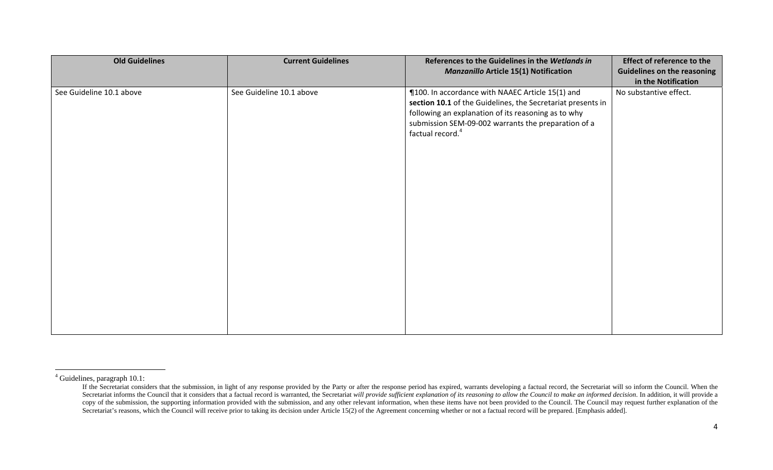| <b>Old Guidelines</b>    | <b>Current Guidelines</b> | References to the Guidelines in the Wetlands in<br><b>Manzanillo Article 15(1) Notification</b>                                                                                                                                                               | <b>Effect of reference to the</b><br><b>Guidelines on the reasoning</b><br>in the Notification |
|--------------------------|---------------------------|---------------------------------------------------------------------------------------------------------------------------------------------------------------------------------------------------------------------------------------------------------------|------------------------------------------------------------------------------------------------|
| See Guideline 10.1 above | See Guideline 10.1 above  | ¶100. In accordance with NAAEC Article 15(1) and<br>section 10.1 of the Guidelines, the Secretariat presents in<br>following an explanation of its reasoning as to why<br>submission SEM-09-002 warrants the preparation of a<br>factual record. <sup>4</sup> | No substantive effect.                                                                         |

<sup>4</sup> Guidelines, paragraph 10.1:

If the Secretariat considers that the submission, in light of any response provided by the Party or after the response period has expired, warrants developing a factual record, the Secretariat will so inform the Council. W Secretariat informs the Council that it considers that a factual record is warranted, the Secretariat will provide sufficient explanation of its reasoning to allow the Council to make an informed decision. In addition, it copy of the submission, the supporting information provided with the submission, and any other relevant information, when these items have not been provided to the Council. The Council may request further explanation of th Secretariat's reasons, which the Council will receive prior to taking its decision under Article 15(2) of the Agreement concerning whether or not a factual record will be prepared. [Emphasis added].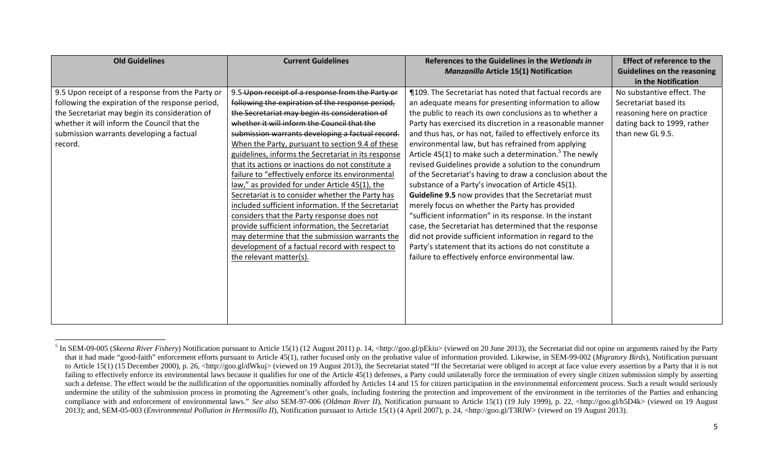| <b>Old Guidelines</b>                            | <b>Current Guidelines</b>                           | References to the Guidelines in the Wetlands in                    | <b>Effect of reference to the</b>  |
|--------------------------------------------------|-----------------------------------------------------|--------------------------------------------------------------------|------------------------------------|
|                                                  |                                                     | <b>Manzanillo Article 15(1) Notification</b>                       | <b>Guidelines on the reasoning</b> |
|                                                  |                                                     |                                                                    | in the Notification                |
| 9.5 Upon receipt of a response from the Party or | 9.5 Upon receipt of a response from the Party or    | ¶109. The Secretariat has noted that factual records are           | No substantive effect. The         |
| following the expiration of the response period, | following the expiration of the response period,    | an adequate means for presenting information to allow              | Secretariat based its              |
| the Secretariat may begin its consideration of   | the Secretariat may begin its consideration of      | the public to reach its own conclusions as to whether a            | reasoning here on practice         |
| whether it will inform the Council that the      | whether it will inform the Council that the         | Party has exercised its discretion in a reasonable manner          | dating back to 1999, rather        |
| submission warrants developing a factual         | submission warrants developing a factual record.    | and thus has, or has not, failed to effectively enforce its        | than new GL 9.5.                   |
| record.                                          | When the Party, pursuant to section 9.4 of these    | environmental law, but has refrained from applying                 |                                    |
|                                                  | guidelines, informs the Secretariat in its response | Article 45(1) to make such a determination. <sup>5</sup> The newly |                                    |
|                                                  | that its actions or inactions do not constitute a   | revised Guidelines provide a solution to the conundrum             |                                    |
|                                                  | failure to "effectively enforce its environmental   | of the Secretariat's having to draw a conclusion about the         |                                    |
|                                                  | law," as provided for under Article 45(1), the      | substance of a Party's invocation of Article 45(1).                |                                    |
|                                                  | Secretariat is to consider whether the Party has    | Guideline 9.5 now provides that the Secretariat must               |                                    |
|                                                  | included sufficient information. If the Secretariat | merely focus on whether the Party has provided                     |                                    |
|                                                  | considers that the Party response does not          | "sufficient information" in its response. In the instant           |                                    |
|                                                  | provide sufficient information, the Secretariat     | case, the Secretariat has determined that the response             |                                    |
|                                                  | may determine that the submission warrants the      | did not provide sufficient information in regard to the            |                                    |
|                                                  | development of a factual record with respect to     | Party's statement that its actions do not constitute a             |                                    |
|                                                  | the relevant matter(s).                             | failure to effectively enforce environmental law.                  |                                    |
|                                                  |                                                     |                                                                    |                                    |
|                                                  |                                                     |                                                                    |                                    |
|                                                  |                                                     |                                                                    |                                    |
|                                                  |                                                     |                                                                    |                                    |
|                                                  |                                                     |                                                                    |                                    |
|                                                  |                                                     |                                                                    |                                    |

<sup>&</sup>lt;sup>5</sup> In SEM-09-005 (*Skeena River Fishery*) Notification pursuant to Article 15(1) (12 August 2011) p. 14, <http://goo.gl/pEkiu> (viewed on 20 June 2013), the Secretariat did not opine on arguments raised by the Party that it had made "good-faith" enforcement efforts pursuant to Article 45(1), rather focused only on the probative value of information provided. Likewise, in SEM-99-002 (*Migratory Birds*), Notification pursuant to Article 15(1) (15 December 2000), p. 26, <http://goo.gl/dWkuj> (viewed on 19 August 2013), the Secretariat stated "If the Secretariat were obliged to accept at face value every assertion by a Party that it is not failing to effectively enforce its environmental laws because it qualifies for one of the Article 45(1) defenses, a Party could unilaterally force the termination of every single citizen submission simply by asserting such a defense. The effect would be the nullification of the opportunities nominally afforded by Articles 14 and 15 for citizen participation in the environmental enforcement process. Such a result would seriously undermine the utility of the submission process in promoting the Agreement's other goals, including fostering the protection and improvement of the environment in the territories of the Parties and enhancing compliance with and enforcement of environmental laws." *See also* SEM-97-006 (*Oldman River II*), Notification pursuant to Article 15(1) (19 July 1999), p. 22, <http://goo.gl/b5D4k> (viewed on 19 August 2013); and, SEM-05-003 (*Environmental Pollution in Hermosillo II*), Notification pursuant to Article 15(1) (4 April 2007), p. 24, <http://goo.gl/T3RlW> (viewed on 19 August 2013).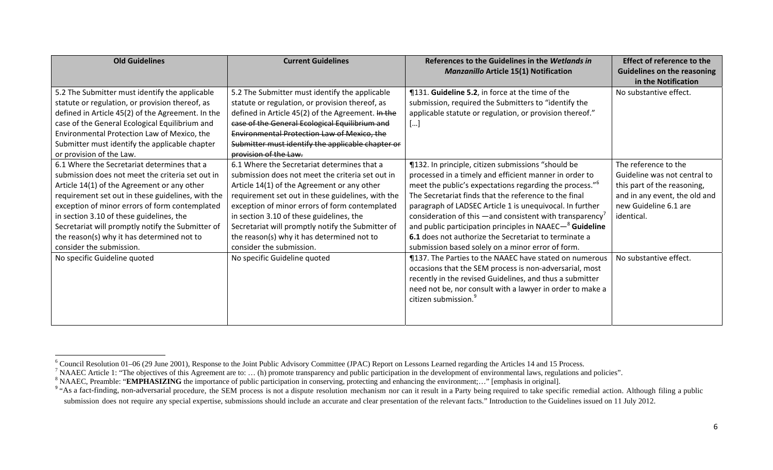| <b>Old Guidelines</b>                             | <b>Current Guidelines</b>                         | References to the Guidelines in the Wetlands in                      | <b>Effect of reference to the</b>  |
|---------------------------------------------------|---------------------------------------------------|----------------------------------------------------------------------|------------------------------------|
|                                                   |                                                   | <b>Manzanillo Article 15(1) Notification</b>                         | <b>Guidelines on the reasoning</b> |
|                                                   |                                                   |                                                                      | in the Notification                |
| 5.2 The Submitter must identify the applicable    | 5.2 The Submitter must identify the applicable    | ¶131. Guideline 5.2, in force at the time of the                     | No substantive effect.             |
| statute or regulation, or provision thereof, as   | statute or regulation, or provision thereof, as   | submission, required the Submitters to "identify the                 |                                    |
| defined in Article 45(2) of the Agreement. In the | defined in Article 45(2) of the Agreement. In the | applicable statute or regulation, or provision thereof."             |                                    |
| case of the General Ecological Equilibrium and    | case of the General Ecological Equilibrium and    | []                                                                   |                                    |
| Environmental Protection Law of Mexico, the       | Environmental Protection Law of Mexico, the       |                                                                      |                                    |
| Submitter must identify the applicable chapter    | Submitter must identify the applicable chapter or |                                                                      |                                    |
| or provision of the Law.                          | provision of the Law.                             |                                                                      |                                    |
| 6.1 Where the Secretariat determines that a       | 6.1 Where the Secretariat determines that a       | ¶132. In principle, citizen submissions "should be                   | The reference to the               |
| submission does not meet the criteria set out in  | submission does not meet the criteria set out in  | processed in a timely and efficient manner in order to               | Guideline was not central to       |
| Article 14(1) of the Agreement or any other       | Article 14(1) of the Agreement or any other       | meet the public's expectations regarding the process." <sup>b</sup>  | this part of the reasoning,        |
| requirement set out in these guidelines, with the | requirement set out in these guidelines, with the | The Secretariat finds that the reference to the final                | and in any event, the old and      |
| exception of minor errors of form contemplated    | exception of minor errors of form contemplated    | paragraph of LADSEC Article 1 is unequivocal. In further             | new Guideline 6.1 are              |
| in section 3.10 of these guidelines, the          | in section 3.10 of these guidelines, the          | consideration of this $-$ and consistent with transparency'          | identical.                         |
| Secretariat will promptly notify the Submitter of | Secretariat will promptly notify the Submitter of | and public participation principles in NAAEC- <sup>8</sup> Guideline |                                    |
| the reason(s) why it has determined not to        | the reason(s) why it has determined not to        | 6.1 does not authorize the Secretariat to terminate a                |                                    |
| consider the submission.                          | consider the submission.                          | submission based solely on a minor error of form.                    |                                    |
| No specific Guideline quoted                      | No specific Guideline quoted                      | ¶137. The Parties to the NAAEC have stated on numerous               | No substantive effect.             |
|                                                   |                                                   | occasions that the SEM process is non-adversarial, most              |                                    |
|                                                   |                                                   | recently in the revised Guidelines, and thus a submitter             |                                    |
|                                                   |                                                   | need not be, nor consult with a lawyer in order to make a            |                                    |
|                                                   |                                                   | citizen submission. <sup>9</sup>                                     |                                    |
|                                                   |                                                   |                                                                      |                                    |
|                                                   |                                                   |                                                                      |                                    |

<sup>6</sup> Council Resolution 01–06 (29 June 2001), Response to the Joint Public Advisory Committee (JPAC) Report on Lessons Learned regarding the Articles 14 and 15 Process.

<sup>&</sup>lt;sup>7</sup> NAAEC Article 1: "The objectives of this Agreement are to: ... (h) promote transparency and public participation in the development of environmental laws, regulations and policies".

<sup>&</sup>lt;sup>8</sup> NAAEC, Preamble: "**EMPHASIZING** the importance of public participation in conserving, protecting and enhancing the environment;..." [emphasis in original].

<sup>&</sup>lt;sup>9</sup> "As a fact-finding, non-adversarial procedure, the SEM process is not a dispute resolution mechanism nor can it result in a Party being required to take specific remedial action. Although filing a public submission does not require any special expertise, submissions should include an accurate and clear presentation of the relevant facts." Introduction to the Guidelines issued on 11 July 2012.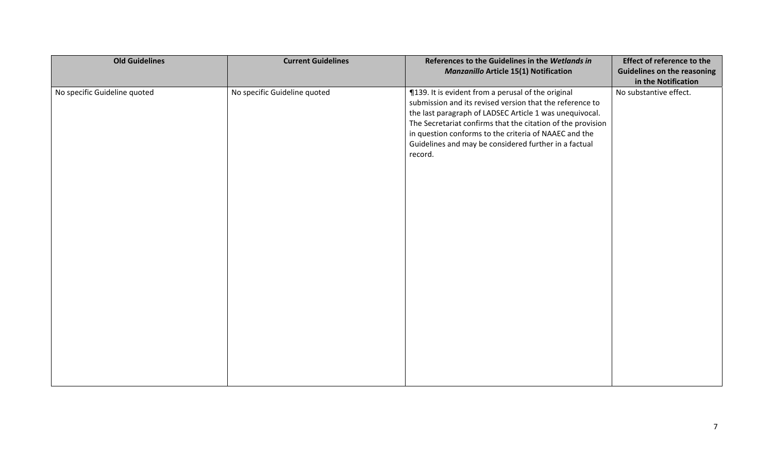| <b>Manzanillo Article 15(1) Notification</b><br>in the Notification<br>No specific Guideline quoted<br>¶139. It is evident from a perusal of the original<br>No substantive effect.<br>No specific Guideline quoted<br>submission and its revised version that the reference to<br>the last paragraph of LADSEC Article 1 was unequivocal.<br>The Secretariat confirms that the citation of the provision<br>in question conforms to the criteria of NAAEC and the<br>Guidelines and may be considered further in a factual<br>record. | <b>Old Guidelines</b> | <b>Current Guidelines</b> | References to the Guidelines in the Wetlands in | <b>Effect of reference to the</b>  |
|----------------------------------------------------------------------------------------------------------------------------------------------------------------------------------------------------------------------------------------------------------------------------------------------------------------------------------------------------------------------------------------------------------------------------------------------------------------------------------------------------------------------------------------|-----------------------|---------------------------|-------------------------------------------------|------------------------------------|
|                                                                                                                                                                                                                                                                                                                                                                                                                                                                                                                                        |                       |                           |                                                 | <b>Guidelines on the reasoning</b> |
|                                                                                                                                                                                                                                                                                                                                                                                                                                                                                                                                        |                       |                           |                                                 |                                    |
|                                                                                                                                                                                                                                                                                                                                                                                                                                                                                                                                        |                       |                           |                                                 |                                    |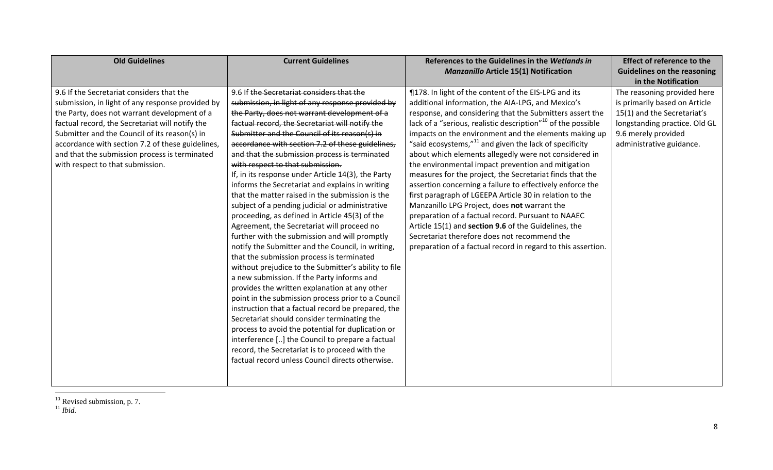| <b>Old Guidelines</b>                            | <b>Current Guidelines</b>                            | References to the Guidelines in the Wetlands in                          | <b>Effect of reference to the</b>  |
|--------------------------------------------------|------------------------------------------------------|--------------------------------------------------------------------------|------------------------------------|
|                                                  |                                                      | <b>Manzanillo Article 15(1) Notification</b>                             | <b>Guidelines on the reasoning</b> |
|                                                  |                                                      |                                                                          | in the Notification                |
| 9.6 If the Secretariat considers that the        | 9.6 If the Secretariat considers that the            | ¶178. In light of the content of the EIS-LPG and its                     | The reasoning provided here        |
| submission, in light of any response provided by | submission, in light of any response provided by     | additional information, the AIA-LPG, and Mexico's                        | is primarily based on Article      |
| the Party, does not warrant development of a     | the Party, does not warrant development of a         | response, and considering that the Submitters assert the                 | 15(1) and the Secretariat's        |
| factual record, the Secretariat will notify the  | factual record, the Secretariat will notify the      | lack of a "serious, realistic description" <sup>10</sup> of the possible | longstanding practice. Old GL      |
| Submitter and the Council of its reason(s) in    | Submitter and the Council of its reason(s) in        | impacts on the environment and the elements making up                    | 9.6 merely provided                |
| accordance with section 7.2 of these guidelines, | accordance with section 7.2 of these guidelines,     | "said ecosystems," $^{11}$ and given the lack of specificity             | administrative guidance.           |
| and that the submission process is terminated    | and that the submission process is terminated        | about which elements allegedly were not considered in                    |                                    |
| with respect to that submission.                 | with respect to that submission.                     | the environmental impact prevention and mitigation                       |                                    |
|                                                  | If, in its response under Article 14(3), the Party   | measures for the project, the Secretariat finds that the                 |                                    |
|                                                  | informs the Secretariat and explains in writing      | assertion concerning a failure to effectively enforce the                |                                    |
|                                                  | that the matter raised in the submission is the      | first paragraph of LGEEPA Article 30 in relation to the                  |                                    |
|                                                  | subject of a pending judicial or administrative      | Manzanillo LPG Project, does not warrant the                             |                                    |
|                                                  | proceeding, as defined in Article 45(3) of the       | preparation of a factual record. Pursuant to NAAEC                       |                                    |
|                                                  | Agreement, the Secretariat will proceed no           | Article 15(1) and section 9.6 of the Guidelines, the                     |                                    |
|                                                  | further with the submission and will promptly        | Secretariat therefore does not recommend the                             |                                    |
|                                                  | notify the Submitter and the Council, in writing,    | preparation of a factual record in regard to this assertion.             |                                    |
|                                                  | that the submission process is terminated            |                                                                          |                                    |
|                                                  | without prejudice to the Submitter's ability to file |                                                                          |                                    |
|                                                  | a new submission. If the Party informs and           |                                                                          |                                    |
|                                                  | provides the written explanation at any other        |                                                                          |                                    |
|                                                  | point in the submission process prior to a Council   |                                                                          |                                    |
|                                                  | instruction that a factual record be prepared, the   |                                                                          |                                    |
|                                                  | Secretariat should consider terminating the          |                                                                          |                                    |
|                                                  | process to avoid the potential for duplication or    |                                                                          |                                    |
|                                                  | interference [] the Council to prepare a factual     |                                                                          |                                    |
|                                                  | record, the Secretariat is to proceed with the       |                                                                          |                                    |
|                                                  | factual record unless Council directs otherwise.     |                                                                          |                                    |
|                                                  |                                                      |                                                                          |                                    |
|                                                  |                                                      |                                                                          |                                    |

<sup>10</sup> Revised submission, p. 7. 11 *Ibid.*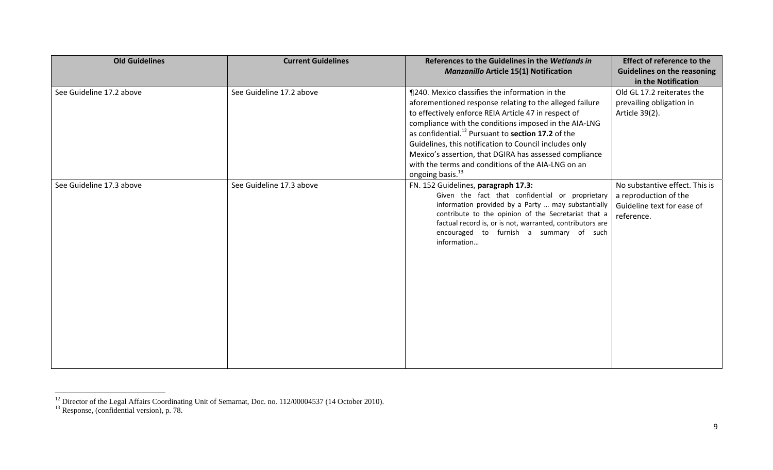| <b>Old Guidelines</b>    | <b>Current Guidelines</b> | References to the Guidelines in the Wetlands in<br><b>Manzanillo Article 15(1) Notification</b>                                                                                                                                                                                                                                                                                                                                                                                                        | <b>Effect of reference to the</b><br><b>Guidelines on the reasoning</b><br>in the Notification      |
|--------------------------|---------------------------|--------------------------------------------------------------------------------------------------------------------------------------------------------------------------------------------------------------------------------------------------------------------------------------------------------------------------------------------------------------------------------------------------------------------------------------------------------------------------------------------------------|-----------------------------------------------------------------------------------------------------|
| See Guideline 17.2 above | See Guideline 17.2 above  | ¶240. Mexico classifies the information in the<br>aforementioned response relating to the alleged failure<br>to effectively enforce REIA Article 47 in respect of<br>compliance with the conditions imposed in the AIA-LNG<br>as confidential. <sup>12</sup> Pursuant to section 17.2 of the<br>Guidelines, this notification to Council includes only<br>Mexico's assertion, that DGIRA has assessed compliance<br>with the terms and conditions of the AIA-LNG on an<br>ongoing basis. <sup>13</sup> | Old GL 17.2 reiterates the<br>prevailing obligation in<br>Article 39(2).                            |
| See Guideline 17.3 above | See Guideline 17.3 above  | FN. 152 Guidelines, paragraph 17.3:<br>Given the fact that confidential or proprietary<br>information provided by a Party  may substantially<br>contribute to the opinion of the Secretariat that a<br>factual record is, or is not, warranted, contributors are<br>encouraged to furnish a summary of such<br>information                                                                                                                                                                             | No substantive effect. This is<br>a reproduction of the<br>Guideline text for ease of<br>reference. |

<sup>&</sup>lt;sup>12</sup> Director of the Legal Affairs Coordinating Unit of Semarnat, Doc. no. 112/00004537 (14 October 2010).

 $13$  Response, (confidential version), p. 78.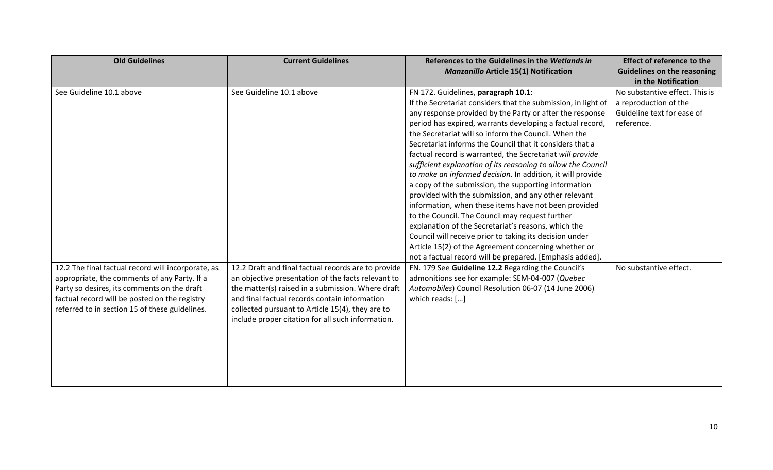| <b>Old Guidelines</b>                                                                                                                                                                                                                                | <b>Current Guidelines</b>                                                                                                                                                                                                                                                                                                | References to the Guidelines in the Wetlands in<br><b>Manzanillo Article 15(1) Notification</b>                                                                                                                                                                                                                                                                                                                                                                                                                                                                                                                                                                                                                                                                                                                                                                                                                                                                                                               | <b>Effect of reference to the</b><br><b>Guidelines on the reasoning</b><br>in the Notification      |
|------------------------------------------------------------------------------------------------------------------------------------------------------------------------------------------------------------------------------------------------------|--------------------------------------------------------------------------------------------------------------------------------------------------------------------------------------------------------------------------------------------------------------------------------------------------------------------------|---------------------------------------------------------------------------------------------------------------------------------------------------------------------------------------------------------------------------------------------------------------------------------------------------------------------------------------------------------------------------------------------------------------------------------------------------------------------------------------------------------------------------------------------------------------------------------------------------------------------------------------------------------------------------------------------------------------------------------------------------------------------------------------------------------------------------------------------------------------------------------------------------------------------------------------------------------------------------------------------------------------|-----------------------------------------------------------------------------------------------------|
| See Guideline 10.1 above                                                                                                                                                                                                                             | See Guideline 10.1 above                                                                                                                                                                                                                                                                                                 | FN 172. Guidelines, paragraph 10.1:<br>If the Secretariat considers that the submission, in light of<br>any response provided by the Party or after the response<br>period has expired, warrants developing a factual record,<br>the Secretariat will so inform the Council. When the<br>Secretariat informs the Council that it considers that a<br>factual record is warranted, the Secretariat will provide<br>sufficient explanation of its reasoning to allow the Council<br>to make an informed decision. In addition, it will provide<br>a copy of the submission, the supporting information<br>provided with the submission, and any other relevant<br>information, when these items have not been provided<br>to the Council. The Council may request further<br>explanation of the Secretariat's reasons, which the<br>Council will receive prior to taking its decision under<br>Article 15(2) of the Agreement concerning whether or<br>not a factual record will be prepared. [Emphasis added]. | No substantive effect. This is<br>a reproduction of the<br>Guideline text for ease of<br>reference. |
| 12.2 The final factual record will incorporate, as<br>appropriate, the comments of any Party. If a<br>Party so desires, its comments on the draft<br>factual record will be posted on the registry<br>referred to in section 15 of these guidelines. | 12.2 Draft and final factual records are to provide<br>an objective presentation of the facts relevant to<br>the matter(s) raised in a submission. Where draft<br>and final factual records contain information<br>collected pursuant to Article 15(4), they are to<br>include proper citation for all such information. | FN. 179 See Guideline 12.2 Regarding the Council's<br>admonitions see for example: SEM-04-007 (Quebec<br>Automobiles) Council Resolution 06-07 (14 June 2006)<br>which reads: []                                                                                                                                                                                                                                                                                                                                                                                                                                                                                                                                                                                                                                                                                                                                                                                                                              | No substantive effect.                                                                              |